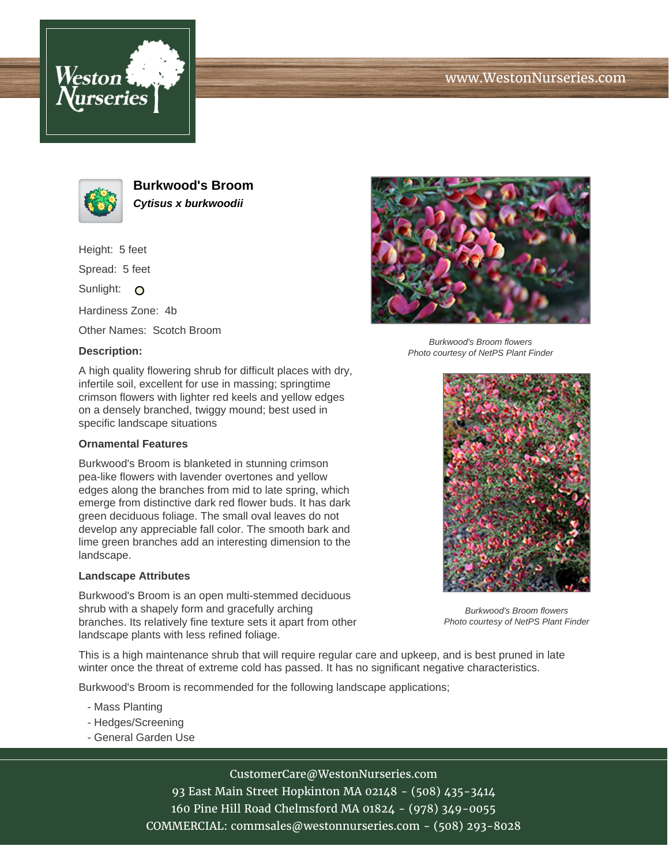





**Burkwood's Broom Cytisus x burkwoodii**

Height: 5 feet

Spread: 5 feet

Sunlight: O

Hardiness Zone: 4b

Other Names: Scotch Broom

### **Description:**

A high quality flowering shrub for difficult places with dry, infertile soil, excellent for use in massing; springtime crimson flowers with lighter red keels and yellow edges on a densely branched, twiggy mound; best used in specific landscape situations

#### **Ornamental Features**

Burkwood's Broom is blanketed in stunning crimson pea-like flowers with lavender overtones and yellow edges along the branches from mid to late spring, which emerge from distinctive dark red flower buds. It has dark green deciduous foliage. The small oval leaves do not develop any appreciable fall color. The smooth bark and lime green branches add an interesting dimension to the landscape.

#### **Landscape Attributes**

Burkwood's Broom is an open multi-stemmed deciduous shrub with a shapely form and gracefully arching branches. Its relatively fine texture sets it apart from other landscape plants with less refined foliage.



Burkwood's Broom flowers Photo courtesy of NetPS Plant Finder



Burkwood's Broom flowers Photo courtesy of NetPS Plant Finder

This is a high maintenance shrub that will require regular care and upkeep, and is best pruned in late winter once the threat of extreme cold has passed. It has no significant negative characteristics.

Burkwood's Broom is recommended for the following landscape applications;

- Mass Planting
- Hedges/Screening
- General Garden Use

# CustomerCare@WestonNurseries.com

93 East Main Street Hopkinton MA 02148 - (508) 435-3414 160 Pine Hill Road Chelmsford MA 01824 - (978) 349-0055 COMMERCIAL: commsales@westonnurseries.com - (508) 293-8028